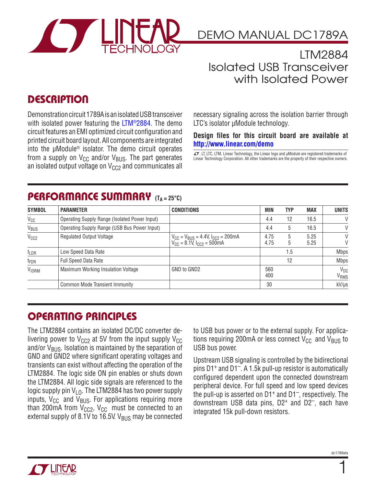

DEMO MANUAL DC1789A

LTM2884 Isolated USB Transceiver with Isolated Power

## **DESCRIPTION**

Demonstration circuit 1789A is an isolated USB transceiver with isolated power featuring the [LTM®2884](http://www.linear.com/LTM2884). The demo circuit features an EMI optimized circuit configuration and printed circuit board layout. All components are integrated into the µModule® isolator. The demo circuit operates from a supply on  $V_{CC}$  and/or  $V_{BUS}$ . The part generates an isolated output voltage on  $V_{CC}$  and communicates all necessary signaling across the isolation barrier through LTC's isolator µModule technology.

#### **Design files for this circuit board are available at <http://www.linear.com/demo>**

LT, LT, LTC, LTM, Linear Technology, the Linear logo and µModule are registered trademarks of Linear Technology Corporation. All other trademarks are the property of their respective owners.

#### PERFORMANCE SUMMARY (TA = 25°C)

| <b>SYMBOL</b>    | <b>PARAMETER</b>                              | <b>CONDITIONS</b>                                                                    | MIN          | <b>TYP</b> | <b>MAX</b>   | <b>UNITS</b>                 |
|------------------|-----------------------------------------------|--------------------------------------------------------------------------------------|--------------|------------|--------------|------------------------------|
| $V_{CC}$         | Operating Supply Range (Isolated Power Input) | 4.4                                                                                  | 12           | 16.5       | $\vee$       |                              |
| V <sub>BUS</sub> | Operating Supply Range (USB Bus Power Input)  |                                                                                      | 4.4          | 5          | 16.5         | $\vee$                       |
| V <sub>CC2</sub> | <b>Regulated Output Voltage</b>               | $V_{CC}$ = $V_{BUS}$ = 4.4V, $I_{CC2}$ = 200mA<br>$V_{CC}$ = 8.1V, $I_{CC2}$ = 500mA | 4.75<br>4.75 | 5<br>b     | 5.25<br>5.25 | V<br>V                       |
| $t_{LDR}$        | Low Speed Data Rate                           |                                                                                      |              | . .5       |              | <b>Mbps</b>                  |
| t <sub>FDR</sub> | <b>Full Speed Data Rate</b>                   |                                                                                      |              | 12         |              | <b>Mbps</b>                  |
| <b>VIORM</b>     | Maximum Working Insulation Voltage            | GND to GND2                                                                          | 560<br>400   |            |              | $V_{DC}$<br>V <sub>RMS</sub> |
|                  | Common Mode Transient Immunity                |                                                                                      | 30           |            |              | kV/µs                        |

### Operating Principles

The LTM2884 contains an isolated DC/DC converter delivering power to  $V_{CC}$  at 5V from the input supply  $V_{CC}$ and/or  $V_{BUS}$ . Isolation is maintained by the separation of GND and GND2 where significant operating voltages and transients can exist without affecting the operation of the LTM2884. The logic side ON pin enables or shuts down the LTM2884. All logic side signals are referenced to the logic supply pin  $V_{\text{LO}}$ . The LTM2884 has two power supply inputs,  $V_{CC}$  and  $V_{BUS}$ . For applications requiring more than 200mA from  $V_{CC}$ ,  $V_{CC}$  must be connected to an external supply of 8.1V to 16.5V.  $V_{BUS}$  may be connected

to USB bus power or to the external supply. For applications requiring 200mA or less connect  $V_{CC}$  and  $V_{BUS}$  to USB bus power.

Upstream USB signaling is controlled by the bidirectional pins D1+ and D1–. A 1.5k pull-up resistor is automatically configured dependent upon the connected downstream peripheral device. For full speed and low speed devices the pull-up is asserted on  $D1^+$  and  $D1^-$ , respectively. The downstream USB data pins,  $D2^+$  and  $D2^-$ , each have integrated 15k pull-down resistors.



1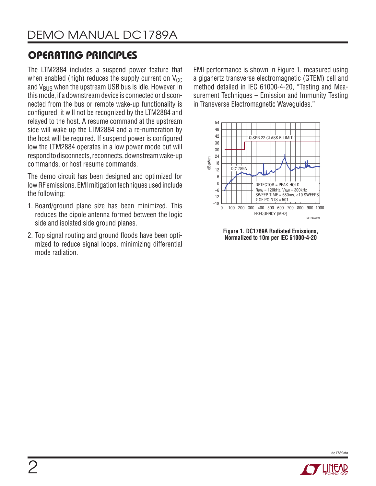# Operating PriNciples

The LTM2884 includes a suspend power feature that when enabled (high) reduces the supply current on  $V_{CC}$ and  $V_{BUS}$  when the upstream USB bus is idle. However, in this mode, if a downstream device is connected or disconnected from the bus or remote wake-up functionality is configured, it will not be recognized by the LTM2884 and relayed to the host. A resume command at the upstream side will wake up the LTM2884 and a re-numeration by the host will be required. If suspend power is configured low the LTM2884 operates in a low power mode but will respond to disconnects, reconnects, downstream wake-up commands, or host resume commands.

The demo circuit has been designed and optimized for low RF emissions. EMI mitigation techniques used include the following:

- 1. Board/ground plane size has been minimized. This reduces the dipole antenna formed between the logic side and isolated side ground planes.
- 2. Top signal routing and ground floods have been optimized to reduce signal loops, minimizing differential mode radiation.

EMI performance is shown in Figure 1, measured using a gigahertz transverse electromagnetic (GTEM) cell and method detailed in IEC 61000-4-20, "Testing and Measurement Techniques – Emission and Immunity Testing in Transverse Electromagnetic Waveguides."



**Figure 1. DC1789A Radiated Emissions, Normalized to 10m per IEC 61000-4-20**



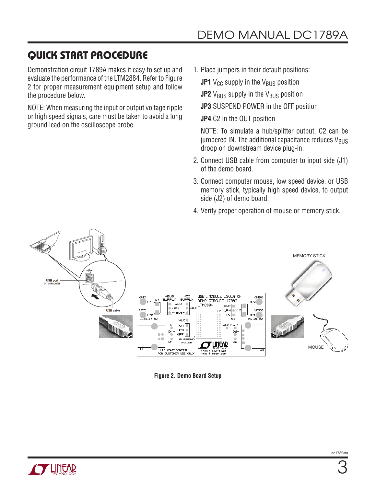## Quick Start Procedure

Demonstration circuit 1789A makes it easy to set up and evaluate the performance of the LTM2884. Refer to Figure 2 for proper measurement equipment setup and follow the procedure below.

NOTE: When measuring the input or output voltage ripple or high speed signals, care must be taken to avoid a long ground lead on the oscilloscope probe.

- 1. Place jumpers in their default positions:
	- **JP1** V<sub>CC</sub> supply in the V<sub>BUS</sub> position
	- **JP2**  $V_{\text{BUS}}$  supply in the  $V_{\text{BUS}}$  position
	- **JP3** SUSPEND POWER in the OFF position
	- **JP4** C2 in the OUT position

NOTE: To simulate a hub/splitter output, C2 can be jumpered IN. The additional capacitance reduces  $V_{BUS}$ droop on downstream device plug-in.

- 2. Connect USB cable from computer to input side (J1) of the demo board.
- 3. Connect computer mouse, low speed device, or USB memory stick, typically high speed device, to output side (J2) of demo board.
- 4. Verify proper operation of mouse or memory stick.



**Figure 2. Demo Board Setup**

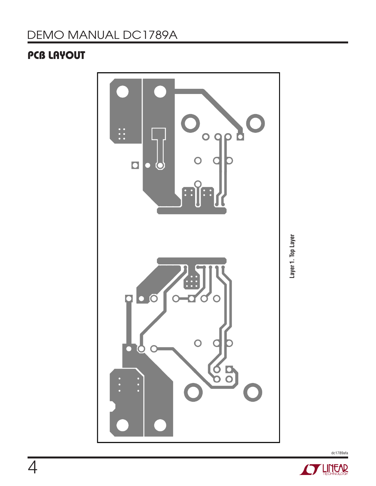# DEMO MANUAL DC1789A

## PCB Layout



Layer 1. Top Layer **Layer 1. Top Layer**

dc1789afa

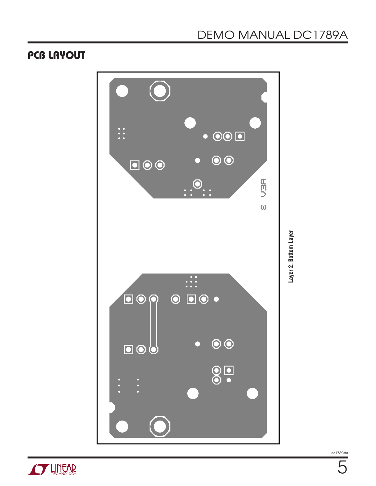### PCB Layout



dc1789afa

5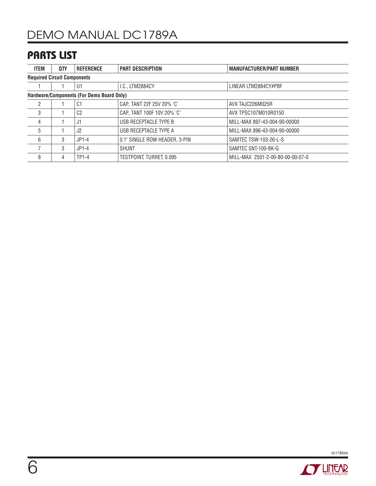### Parts List

| <b>ITEM</b>                               | QTY | <b>REFERENCE</b> | <b>PART DESCRIPTION</b>       | <b>MANUFACTURER/PART NUMBER</b>  |  |  |  |  |
|-------------------------------------------|-----|------------------|-------------------------------|----------------------------------|--|--|--|--|
| <b>Required Circuit Components</b>        |     |                  |                               |                                  |  |  |  |  |
|                                           |     | U1               | I.C., LTM2884CY               | LINEAR LTM2884CY#PBF             |  |  |  |  |
| Hardware/Components (For Demo Board Only) |     |                  |                               |                                  |  |  |  |  |
| 2                                         |     | C1               | CAP., TANT 22F 25V 20% 'C'    | AVX TAJC226M025R                 |  |  |  |  |
| 3                                         |     | C <sub>2</sub>   | CAP., TANT 100F 10V 20% 'C'   | AVX TPSC107M010R0150             |  |  |  |  |
| 4                                         |     | J1               | USB RECEPTACLE TYPE B         | MILL-MAX 897-43-004-90-00000     |  |  |  |  |
| 5                                         |     | J <sub>2</sub>   | USB RECEPTACLE TYPE A         | MILL-MAX 896-43-004-90-00000     |  |  |  |  |
| 6                                         | 3   | $JP1-4$          | 0.1" SINGLE ROW HEADER, 3-PIN | SAMTEC TSW-103-26-L-S            |  |  |  |  |
|                                           | 3   | $JP1-4$          | <b>SHUNT</b>                  | SAMTEC SNT-100-BK-G              |  |  |  |  |
| 8                                         | 4   | <b>TP1-4</b>     | TESTPOINT. TURRET. 0.095      | MILL-MAX 2501-2-00-80-00-00-07-0 |  |  |  |  |



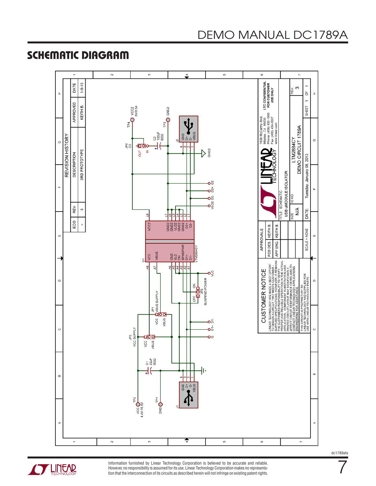## Schematic Diagram





Information furnished by Linear Technology Corporation is believed to be accurate and reliable. However, no responsibility is assumed for its use. Linear Technology Corporation makes no representation that the interconnection of its circuits as described herein will not infringe on existing patent rights.

# DEMO MANUAL DC1789A

dc1789afa

7